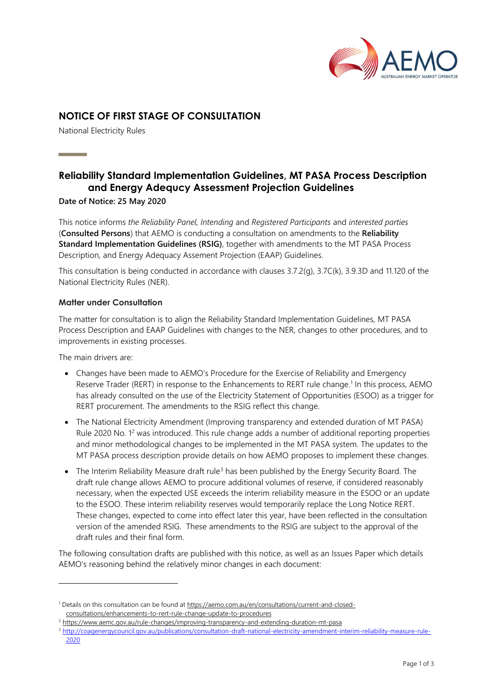

## **NOTICE OF FIRST STAGE OF CONSULTATION**

National Electricity Rules

**Contract Contract** 

# **Reliability Standard Implementation Guidelines, MT PASA Process Description and Energy Adequcy Assessment Projection Guidelines**

#### **Date of Notice: 25 May 2020**

This notice informs *the Reliability Panel, Intending* and *Registered Participants* and *interested parties* (**Consulted Persons**) that AEMO is conducting a consultation on amendments to the **Reliability Standard Implementation Guidelines (RSIG)**, together with amendments to the MT PASA Process Description, and Energy Adequacy Assement Projection (EAAP) Guidelines.

This consultation is being conducted in accordance with clauses 3.7.2(g), 3.7C(k), 3.9.3D and 11.120 of the National Electricity Rules (NER).

#### **Matter under Consultation**

The matter for consultation is to align the Reliability Standard Implementation Guidelines*,* MT PASA Process Description and EAAP Guidelines with changes to the NER, changes to other procedures, and to improvements in existing processes.

The main drivers are:

- Changes have been made to AEMO's Procedure for the Exercise of Reliability and Emergency Reserve Trader (RERT) in response to the Enhancements to RERT rule change.<sup>1</sup> In this process, AEMO has already consulted on the use of the Electricity Statement of Opportunities (ESOO) as a trigger for RERT procurement. The amendments to the RSIG reflect this change.
- The National Electricity Amendment (Improving transparency and extended duration of MT PASA) Rule 2020 No. 1<sup>2</sup> was introduced. This rule change adds a number of additional reporting properties and minor methodological changes to be implemented in the MT PASA system. The updates to the MT PASA process description provide details on how AEMO proposes to implement these changes.
- The Interim Reliability Measure draft rule<sup>3</sup> has been published by the Energy Security Board. The draft rule change allows AEMO to procure additional volumes of reserve, if considered reasonably necessary, when the expected USE exceeds the interim reliability measure in the ESOO or an update to the ESOO. These interim reliability reserves would temporarily replace the Long Notice RERT. These changes, expected to come into effect later this year, have been reflected in the consultation version of the amended RSIG. These amendments to the RSIG are subject to the approval of the draft rules and their final form.

The following consultation drafts are published with this notice, as well as an Issues Paper which details AEMO's reasoning behind the relatively minor changes in each document:

<sup>1</sup> Details on this consultation can be found at [https://aemo.com.au/en/consultations/current-and-closed](https://aemo.com.au/en/consultations/current-and-closed-consultations/enhancements-to-rert-rule-change-update-to-procedures)[consultations/enhancements-to-rert-rule-change-update-to-procedures](https://aemo.com.au/en/consultations/current-and-closed-consultations/enhancements-to-rert-rule-change-update-to-procedures)

<sup>&</sup>lt;sup>2</sup> <https://www.aemc.gov.au/rule-changes/improving-transparency-and-extending-duration-mt-pasa>

<sup>3</sup> [http://coagenergycouncil.gov.au/publications/consultation-draft-national-electricity-amendment-interim-reliability-measure-rule-](http://coagenergycouncil.gov.au/publications/consultation-draft-national-electricity-amendment-interim-reliability-measure-rule-2020)[2020](http://coagenergycouncil.gov.au/publications/consultation-draft-national-electricity-amendment-interim-reliability-measure-rule-2020)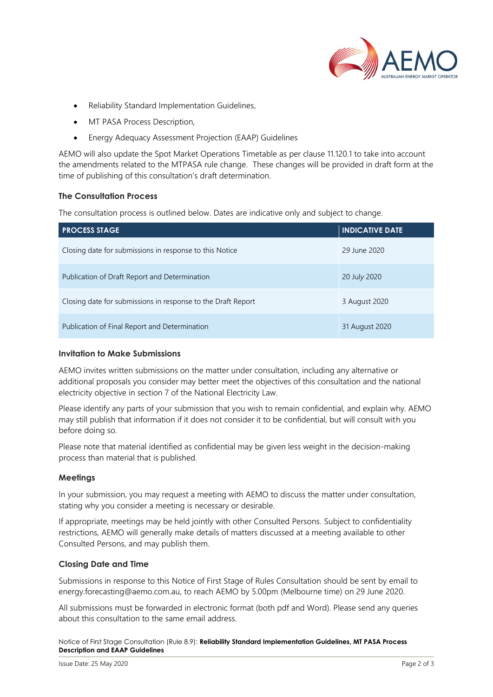

- Reliability Standard Implementation Guidelines,
- MT PASA Process Description,
- Energy Adequacy Assessment Projection (EAAP) Guidelines

AEMO will also update the Spot Market Operations Timetable as per clause 11.120.1 to take into account the amendments related to the MTPASA rule change. These changes will be provided in draft form at the time of publishing of this consultation's draft determination.

#### **The Consultation Process**

The consultation process is outlined below. Dates are indicative only and subject to change.

| <b>PROCESS STAGE</b>                                         | <b>INDICATIVE DATE</b> |
|--------------------------------------------------------------|------------------------|
| Closing date for submissions in response to this Notice      | 29 June 2020           |
| Publication of Draft Report and Determination                | 20 July 2020           |
| Closing date for submissions in response to the Draft Report | 3 August 2020          |
| Publication of Final Report and Determination                | 31 August 2020         |

#### **Invitation to Make Submissions**

AEMO invites written submissions on the matter under consultation, including any alternative or additional proposals you consider may better meet the objectives of this consultation and the national electricity objective in section 7 of the National Electricity Law.

Please identify any parts of your submission that you wish to remain confidential, and explain why. AEMO may still publish that information if it does not consider it to be confidential, but will consult with you before doing so.

Please note that material identified as confidential may be given less weight in the decision-making process than material that is published.

#### **Meetings**

In your submission, you may request a meeting with AEMO to discuss the matter under consultation, stating why you consider a meeting is necessary or desirable.

If appropriate, meetings may be held jointly with other Consulted Persons. Subject to confidentiality restrictions, AEMO will generally make details of matters discussed at a meeting available to other Consulted Persons, and may publish them.

#### **Closing Date and Time**

Submissions in response to this Notice of First Stage of Rules Consultation should be sent by email to energy.forecasting@aemo.com.au, to reach AEMO by 5.00pm (Melbourne time) on 29 June 2020.

All submissions must be forwarded in electronic format (both pdf and Word). Please send any queries about this consultation to the same email address.

Notice of First Stage Consultation (Rule 8.9): **Reliability Standard Implementation Guidelines, MT PASA Process Description and EAAP Guidelines**